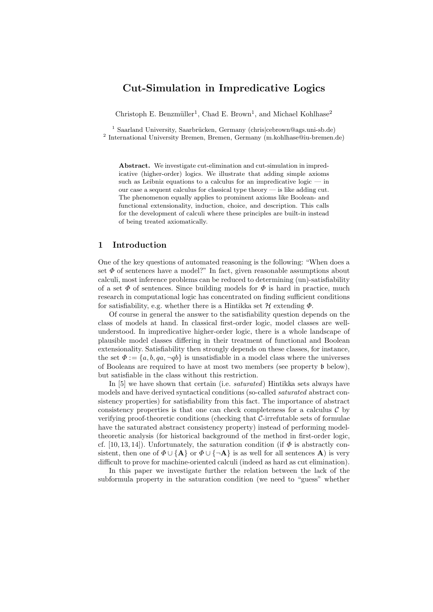# Cut-Simulation in Impredicative Logics

Christoph E. Benzmüller<sup>1</sup>, Chad E. Brown<sup>1</sup>, and Michael Kohlhase<sup>2</sup>

<sup>1</sup> Saarland University, Saarbrücken, Germany (chris|cebrown@ags.uni-sb.de) <sup>2</sup> International University Bremen, Bremen, Germany (m.kohlhase@iu-bremen.de)

Abstract. We investigate cut-elimination and cut-simulation in impredicative (higher-order) logics. We illustrate that adding simple axioms such as Leibniz equations to a calculus for an impredicative logic  $-$  in our case a sequent calculus for classical type theory — is like adding cut. The phenomenon equally applies to prominent axioms like Boolean- and functional extensionality, induction, choice, and description. This calls for the development of calculi where these principles are built-in instead of being treated axiomatically.

## 1 Introduction

One of the key questions of automated reasoning is the following: "When does a set  $\Phi$  of sentences have a model?" In fact, given reasonable assumptions about calculi, most inference problems can be reduced to determining (un)-satisfiability of a set  $\Phi$  of sentences. Since building models for  $\Phi$  is hard in practice, much research in computational logic has concentrated on finding sufficient conditions for satisfiability, e.g. whether there is a Hintikka set  $\mathcal H$  extending  $\Phi$ .

Of course in general the answer to the satisfiability question depends on the class of models at hand. In classical first-order logic, model classes are wellunderstood. In impredicative higher-order logic, there is a whole landscape of plausible model classes differing in their treatment of functional and Boolean extensionality. Satisfiability then strongly depends on these classes, for instance, the set  $\Phi := \{a, b, qa, \neg qb\}$  is unsatisfiable in a model class where the universes of Booleans are required to have at most two members (see property b below), but satisfiable in the class without this restriction.

In [5] we have shown that certain (i.e. saturated) Hintikka sets always have models and have derived syntactical conditions (so-called saturated abstract consistency properties) for satisfiability from this fact. The importance of abstract consistency properties is that one can check completeness for a calculus  $\mathcal C$  by verifying proof-theoretic conditions (checking that C-irrefutable sets of formulae have the saturated abstract consistency property) instead of performing modeltheoretic analysis (for historical background of the method in first-order logic, cf. [10, 13, 14]). Unfortunately, the saturation condition (if  $\Phi$  is abstractly consistent, then one of  $\Phi \cup {\bf A}$  or  $\Phi \cup {\bf A}$  is as well for all sentences **A**) is very difficult to prove for machine-oriented calculi (indeed as hard as cut elimination).

In this paper we investigate further the relation between the lack of the subformula property in the saturation condition (we need to "guess" whether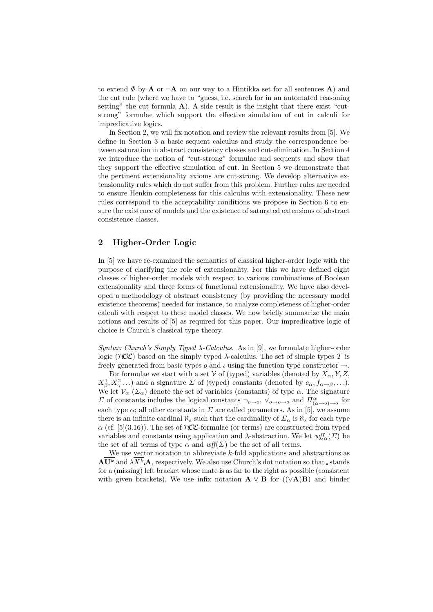to extend  $\Phi$  by **A** or  $\neg$ **A** on our way to a Hintikka set for all sentences **A**) and the cut rule (where we have to "guess, i.e. search for in an automated reasoning setting" the cut formula  $A$ ). A side result is the insight that there exist "cutstrong" formulae which support the effective simulation of cut in calculi for impredicative logics.

In Section 2, we will fix notation and review the relevant results from [5]. We define in Section 3 a basic sequent calculus and study the correspondence between saturation in abstract consistency classes and cut-elimination. In Section 4 we introduce the notion of "cut-strong" formulae and sequents and show that they support the effective simulation of cut. In Section 5 we demonstrate that the pertinent extensionality axioms are cut-strong. We develop alternative extensionality rules which do not suffer from this problem. Further rules are needed to ensure Henkin completeness for this calculus with extensionality. These new rules correspond to the acceptability conditions we propose in Section 6 to ensure the existence of models and the existence of saturated extensions of abstract consistence classes.

## 2 Higher-Order Logic

In [5] we have re-examined the semantics of classical higher-order logic with the purpose of clarifying the role of extensionality. For this we have defined eight classes of higher-order models with respect to various combinations of Boolean extensionality and three forms of functional extensionality. We have also developed a methodology of abstract consistency (by providing the necessary model existence theorems) needed for instance, to analyze completeness of higher-order calculi with respect to these model classes. We now briefly summarize the main notions and results of [5] as required for this paper. Our impredicative logic of choice is Church's classical type theory.

Syntax: Church's Simply Typed  $\lambda$ -Calculus. As in [9], we formulate higher-order logic ( $HOC$ ) based on the simply typed  $\lambda$ -calculus. The set of simple types T is freely generated from basic types  $o$  and  $\iota$  using the function type constructor  $\rightarrow$ .

For formulae we start with a set V of (typed) variables (denoted by  $X_{\alpha}$ , Y, Z,  $X^1_\beta, X^2_\gamma \ldots$ ) and a signature  $\Sigma$  of (typed) constants (denoted by  $c_\alpha, f_{\alpha \to \beta}, \ldots$ ). We let  $V_{\alpha}$  ( $\Sigma_{\alpha}$ ) denote the set of variables (constants) of type  $\alpha$ . The signature  $\Sigma$  of constants includes the logical constants  $\neg_{o\to o}$ ,  $\vee_{o\to o\to o}$  and  $\Pi^{\alpha}_{(\alpha\to o)\to o}$  for each type  $\alpha$ ; all other constants in  $\Sigma$  are called parameters. As in [5], we assume there is an infinite cardinal  $\aleph_s$  such that the cardinality of  $\Sigma_\alpha$  is  $\aleph_s$  for each type  $\alpha$  (cf. [5](3.16)). The set of  $HOL$ -formulae (or terms) are constructed from typed variables and constants using application and  $\lambda$ -abstraction. We let  $\mathit{wf}_{\alpha}(\Sigma)$  be the set of all terms of type  $\alpha$  and  $\mathit{wff}(\Sigma)$  be the set of all terms.

We use vector notation to abbreviate  $k$ -fold applications and abstractions as  $\mathbf{A}\overline{\mathbf{U}^{k}}$  and  $\lambda \overline{X^{k}}$  **A**, respectively. We also use Church's dot notation so that stands for a (missing) left bracket whose mate is as far to the right as possible (consistent with given brackets). We use infix notation  $\mathbf{A} \vee \mathbf{B}$  for  $((\vee \mathbf{A})\mathbf{B})$  and binder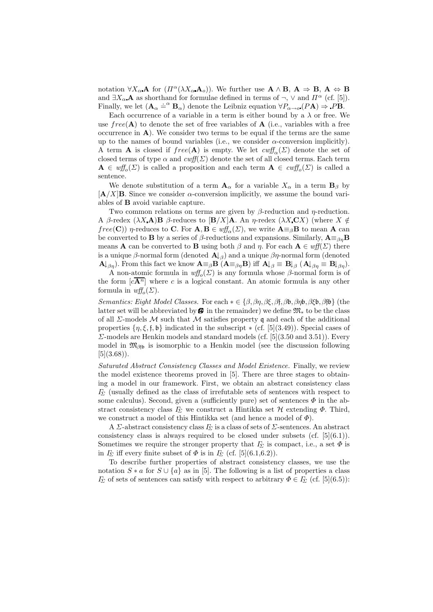notation  $\forall X_{\alpha} \mathbf{A}$  for  $(\Pi^{\alpha}(\lambda X_{\alpha} \mathbf{A}_{\alpha}))$ . We further use  $\mathbf{A} \wedge \mathbf{B}$ ,  $\mathbf{A} \Rightarrow \mathbf{B}$ ,  $\mathbf{A} \Leftrightarrow \mathbf{B}$ and  $\exists X_\alpha \mathbf{A}$  as shorthand for formulae defined in terms of  $\neg$ ,  $\vee$  and  $\Pi^\alpha$  (cf. [5]). Finally, we let  $(\mathbf{A}_{\alpha} \doteq^{\alpha} \mathbf{B}_{\alpha})$  denote the Leibniz equation  $\forall P_{\alpha \to \alpha} (PA) \Rightarrow PB$ .

Each occurrence of a variable in a term is either bound by a  $\lambda$  or free. We use  $free(\bf{A})$  to denote the set of free variables of  $\bf{A}$  (i.e., variables with a free occurrence in  $\bf{A}$ ). We consider two terms to be equal if the terms are the same up to the names of bound variables (i.e., we consider  $\alpha$ -conversion implicitly). A term **A** is closed if  $free(A)$  is empty. We let  $\text{cut}^{\mathcal{A}}_{\alpha}(\Sigma)$  denote the set of closed terms of type  $\alpha$  and  $\text{cutf}(\Sigma)$  denote the set of all closed terms. Each term  $\mathbf{A} \in \text{wff}_{o}(\Sigma)$  is called a proposition and each term  $\mathbf{A} \in \text{cwff}_{o}(\Sigma)$  is called a sentence.

We denote substitution of a term  $A_{\alpha}$  for a variable  $X_{\alpha}$  in a term  $B_{\beta}$  by  $[A/X]$ B. Since we consider  $\alpha$ -conversion implicitly, we assume the bound variables of B avoid variable capture.

Two common relations on terms are given by  $\beta$ -reduction and  $\eta$ -reduction. A β-redex  $(\lambda X \mathbf{A}) \mathbf{B}$  β-reduces to  $[\mathbf{B}/X] \mathbf{A}$ . An *η*-redex  $(\lambda X \mathbf{C} X)$  (where  $X \notin$  $free(\mathbf{C})$  η-reduces to C. For  $\mathbf{A}, \mathbf{B} \in \text{wff}_{\alpha}(\Sigma)$ , we write  $\mathbf{A} \equiv_{\beta} \mathbf{B}$  to mean  $\mathbf{A}$  can be converted to **B** by a series of  $\beta$ -reductions and expansions. Similarly,  $\mathbf{A} \equiv_{\beta n} \mathbf{B}$ means **A** can be converted to **B** using both  $\beta$  and  $\eta$ . For each  $A \in \text{wff}(\Sigma)$  there is a unique  $\beta$ -normal form (denoted  $\mathbf{A} \vert_{\beta}$ ) and a unique  $\beta \eta$ -normal form (denoted  ${\bf A}\vert_{\beta\eta}$ ). From this fact we know  ${\bf A}\equiv_{\beta}{\bf B}$   $({\bf A}\equiv_{\beta\eta}{\bf B})$  iff  ${\bf A}\vert_{\beta}\equiv {\bf B}\vert_{\beta}$   $({\bf A}\vert_{\beta\eta}\equiv {\bf B}\vert_{\beta\eta})$ .

A non-atomic formula in  $\mathit{wff}_{o}(\Sigma)$  is any formula whose  $\beta$ -normal form is of the form  $[c\overline{A^n}]$  where c is a logical constant. An atomic formula is any other formula in  $\mathit{wf}_o(\Sigma)$ .

Semantics: Eight Model Classes. For each  $* \in \{\beta, \beta\eta, \beta \xi, \beta\}$ ,  $\beta\beta$ ,  $\beta\beta\beta$ ,  $\beta\beta\beta\}$  (the latter set will be abbreviated by  $\mathbf{\Theta}$  in the remainder) we define  $\mathfrak{M}_{*}$  to be the class of all  $\Sigma$ -models M such that M satisfies property q and each of the additional properties  $\{\eta, \xi, \mathfrak{h}\}\$  indicated in the subscript  $\ast$  (cf. [5](3.49)). Special cases of  $\Sigma$ -models are Henkin models and standard models (cf. [5](3.50 and 3.51)). Every model in  $\mathfrak{M}_{\beta\mathfrak{h}}$  is isomorphic to a Henkin model (see the discussion following  $[5](3.68)$ .

Saturated Abstract Consistency Classes and Model Existence. Finally, we review the model existence theorems proved in [5]. There are three stages to obtaining a model in our framework. First, we obtain an abstract consistency class  $I_{\Sigma}$  (usually defined as the class of irrefutable sets of sentences with respect to some calculus). Second, given a (sufficiently pure) set of sentences  $\Phi$  in the abstract consistency class  $\Gamma_{\!\Sigma}$  we construct a Hintikka set  $\mathcal H$  extending  $\Phi$ . Third, we construct a model of this Hintikka set (and hence a model of  $\Phi$ ).

A  $\Sigma$ -abstract consistency class  $\Gamma_{\!\Sigma}$  is a class of sets of  $\Sigma$ -sentences. An abstract consistency class is always required to be closed under subsets (cf.  $[5](6.1)$ ). Sometimes we require the stronger property that  $\Gamma_{\Sigma}$  is compact, i.e., a set  $\Phi$  is in  $\Gamma_{\!\Sigma}$  iff every finite subset of  $\Phi$  is in  $\Gamma_{\!\Sigma}$  (cf. [5](6.1,6.2)).

To describe further properties of abstract consistency classes, we use the notation  $S * a$  for  $S \cup \{a\}$  as in [5]. The following is a list of properties a class  $\Gamma_{\Sigma}$  of sets of sentences can satisfy with respect to arbitrary  $\Phi \in \Gamma_{\Sigma}$  (cf. [5](6.5)):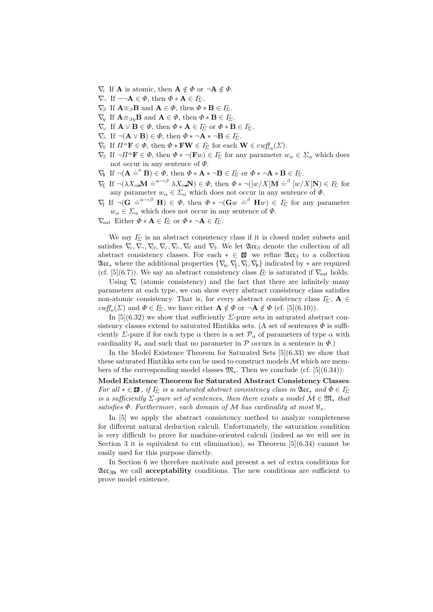- $\nabla_{c}$  If **A** is atomic, then  $\mathbf{A} \notin \Phi$  or  $\neg \mathbf{A} \notin \Phi$ .
- $\nabla$ , If  $\neg\neg \mathbf{A} \in \Phi$ , then  $\Phi * \mathbf{A} \in I_{\Sigma}$ .
- $\nabla_{\beta}$  If  $\mathbf{A} \equiv_{\beta} \mathbf{B}$  and  $\mathbf{A} \in \Phi$ , then  $\Phi * \mathbf{B} \in I_{\Sigma}$ .
- $\nabla_{\eta}$  If  $\mathbf{A} \equiv_{\beta\eta} \mathbf{B}$  and  $\mathbf{A} \in \Phi$ , then  $\Phi * \mathbf{B} \in I_{\Sigma}$ .
- $\nabla_{\!\mathsf{V}}$  If  $\mathbf{A} \vee \mathbf{B} \in \Phi$ , then  $\Phi * \mathbf{A} \in I_{\Sigma}$  or  $\Phi * \mathbf{B} \in I_{\Sigma}$ .
- $\nabla$  If  $\neg(\mathbf{A} \vee \mathbf{B}) \in \Phi$ , then  $\Phi * \neg \mathbf{A} * \neg \mathbf{B} \in I_{\Sigma}$ .
- $\nabla_{\!\mathsf{Y}}$  If  $\Pi^{\alpha} \mathbf{F} \in \Phi$ , then  $\Phi * \mathbf{FW} \in I_{\Sigma}$  for each  $\mathbf{W} \in \text{curl}_{\alpha}(\Sigma)$ .
- $\nabla$ <sub>∃</sub> If  $\neg \Pi^{\alpha} \mathbf{F} \in \Phi$ , then  $\Phi * \neg(\mathbf{F}w) \in \varGamma_{\Sigma}$  for any parameter  $w_{\alpha} \in \varSigma_{\alpha}$  which does not occur in any sentence of  $\Phi$ .
- $\nabla_b$  If  $\neg(\mathbf{A} \doteq^{\circ} \mathbf{B}) \in \Phi$ , then  $\Phi * \mathbf{A} * \neg \mathbf{B} \in I_{\Sigma}$  or  $\Phi * \neg \mathbf{A} * \mathbf{B} \in I_{\Sigma}$ .
- $\nabla_{\xi}$  If  $\neg(\lambda X_{\alpha} \mathbf{M} \doteq^{\alpha \rightarrow \beta} \lambda X_{\alpha} \mathbf{N}) \in \Phi$ , then  $\Phi * \neg([w/X] \mathbf{M} \doteq^{\beta} [w/X] \mathbf{N}) \in I_{\Sigma}$  for any parameter  $w_{\alpha} \in \Sigma_{\alpha}$  which does not occur in any sentence of  $\Phi$ .
- $\nabla f$  If  $\neg(\mathbf{G} \stackrel{\cdot}{=}^{\alpha \to \beta} \mathbf{H}) \in \Phi$ , then  $\Phi * \neg(\mathbf{G}w \stackrel{\cdot}{=}^{\beta} \mathbf{H}w) \in I_{\Sigma}$  for any parameter  $w_{\alpha} \in \Sigma_{\alpha}$  which does not occur in any sentence of  $\Phi$ .

 $\nabla_{\!\! sat}$  Either  $\Phi * A \in I_{\Sigma}$  or  $\Phi * \neg A \in I_{\Sigma}$ .

We say  $I_{\Sigma}$  is an abstract consistency class if it is closed under subsets and satisfies  $\nabla_c, \nabla_{\neg}$ ,  $\nabla_{\beta}, \nabla_{\vee}, \nabla_{\wedge}, \nabla_{\psi}$  and  $\nabla_{\neg}$ . We let  $\mathfrak{Acc}_{\beta}$  denote the collection of all abstract consistency classes. For each  $* \in \mathcal{B}$  we refine  $\mathfrak{Acc}_{\beta}$  to a collection  $\mathfrak{Acc}_*$  where the additional properties  $\{\nabla_n, \nabla_\xi, \nabla_\xi, \nabla_\mathfrak{b}\}\$  indicated by  $*$  are required (cf. [5](6.7)). We say an abstract consistency class  $\Gamma_{\Sigma}$  is saturated if  $\nabla_{sat}$  holds.

Using  $\nabla_c$  (atomic consistency) and the fact that there are infinitely many parameters at each type, we can show every abstract consistency class satisfies non-atomic consistency. That is, for every abstract consistency class  $\varGamma_{\!\Sigma}$ ,  $\mathbf{A} \in$  $\text{curl}_{\mathcal{O}}(\Sigma)$  and  $\Phi \in I_{\Sigma}$ , we have either  $\mathbf{A} \notin \Phi$  or  $\neg \mathbf{A} \notin \Phi$  (cf. [5](6.10)).

In [5](6.32) we show that sufficiently  $\Sigma$ -pure sets in saturated abstract consistency classes extend to saturated Hintikka sets. (A set of sentences  $\Phi$  is sufficiently Σ-pure if for each type  $\alpha$  there is a set  $\mathcal{P}_{\alpha}$  of parameters of type  $\alpha$  with cardinality  $\aleph_s$  and such that no parameter in  $\mathcal P$  occurs in a sentence in  $\Phi$ .)

In the Model Existence Theorem for Saturated Sets [5](6.33) we show that these saturated Hintikka sets can be used to construct models  $M$  which are members of the corresponding model classes  $\mathfrak{M}_*$ . Then we conclude (cf. [5](6.34)):

Model Existence Theorem for Saturated Abstract Consistency Classes: For all  $* \in \mathbf{B}$ , if  $\Gamma_{\Sigma}$  is a saturated abstract consistency class in  $\mathfrak{A}$ c $*$  and  $\Phi \in \Gamma_{\Sigma}$ is a sufficiently  $\Sigma$ -pure set of sentences, then there exists a model  $\mathcal{M} \in \mathfrak{M}_*$  that satisfies  $\Phi$ . Furthermore, each domain of M has cardinality at most  $\aleph_s$ .

In [5] we apply the abstract consistency method to analyze completeness for different natural deduction calculi. Unfortunately, the saturation condition is very difficult to prove for machine-oriented calculi (indeed as we will see in Section 3 it is equivalent to cut elimination), so Theorem  $[5](6.34)$  cannot be easily used for this purpose directly.

In Section 6 we therefore motivate and present a set of extra conditions for  $\mathfrak{Acc}_{\beta\mathfrak{f}\mathfrak{b}}$  we call **acceptability** conditions. The new conditions are sufficient to prove model existence.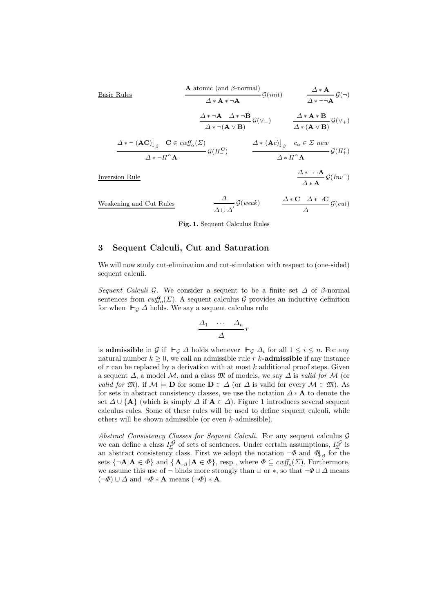**Basic Rules**

\n
$$
\begin{array}{c}\n\mathbf{A} \text{ atomic (and } \beta\text{-normal}) \\
\Delta * \mathbf{A} * \neg \mathbf{A}\n\end{array}\n\mathcal{G}(init) \qquad\n\begin{array}{c}\n\Delta * \mathbf{A} \\
\Delta * \neg \mathbf{A} \mathcal{G}(\neg) \\
\Delta * \neg \mathbf{A} \mathcal{G}(\neg) \\
\Delta * \neg \mathbf{A} \mathcal{G}(\neg) \\
\Delta * \neg (\mathbf{A} \vee \mathbf{B})\n\end{array}\n\mathcal{G}(V_{-}) \qquad\n\begin{array}{c}\n\Delta * \mathbf{A} * \mathbf{B} \\
\Delta * \neg \mathbf{A} \mathcal{G}(\neg) \\
\Delta * (\mathbf{A} \vee \mathbf{B})\n\end{array}\n\mathcal{G}(V_{+})
$$
\n
$$
\Delta * \neg (\mathbf{A}\mathbf{C}) \bigg|_{\beta} \qquad\n\mathbf{C} \in \text{curl}^{\mathcal{G}}_{\alpha}(\Sigma) \qquad\n\Delta * (\mathbf{A}\text{C}) \bigg|_{\beta} \qquad\n\begin{array}{c}\n\Delta * (\mathbf{A}\text{C}) \bigg|_{\beta} & c_{\alpha} \in \Sigma \text{ new} \\
\Delta * \Pi^{\alpha} \mathbf{A}\n\end{array}\n\mathcal{G}(H_{+}^{c})
$$
\nInversion Rule

\n
$$
\frac{\Delta * \neg \mathbf{A}}{\alpha} \mathcal{G}(\text{Inv}^{-})
$$

Inversion Rule

Weakening and Cut Rules  $\triangle$   $\mathcal{G}(weak)$  $\varDelta \cup \varDelta'$  $\triangle$  ∗ C  $\triangle$  ∗ ¬C  $g(cut)$ ∆

 $\Delta * A$ 

Fig. 1. Sequent Calculus Rules

### 3 Sequent Calculi, Cut and Saturation

We will now study cut-elimination and cut-simulation with respect to (one-sided) sequent calculi.

Sequent Calculi G. We consider a sequent to be a finite set  $\Delta$  of  $\beta$ -normal sentences from  $\text{cutf}_{o}(\Sigma)$ . A sequent calculus G provides an inductive definition for when  $\vdash_G \Delta$  holds. We say a sequent calculus rule

$$
\frac{\Delta_1 \cdots \Delta_n}{\Delta} r
$$

is **admissible** in G if  $\vdash_{\mathcal{G}} \Delta$  holds whenever  $\vdash_{\mathcal{G}} \Delta_i$  for all  $1 \leq i \leq n$ . For any natural number  $k \geq 0$ , we call an admissible rule r k-**admissible** if any instance of  $r$  can be replaced by a derivation with at most  $k$  additional proof steps. Given a sequent  $\Delta$ , a model  $\mathcal M$ , and a class  $\mathfrak M$  of models, we say  $\Delta$  is valid for  $\mathcal M$  (or *valid for*  $\mathfrak{M}$ ), if  $\mathcal{M} \models \mathbf{D}$  for some  $\mathbf{D} \in \Delta$  (or  $\Delta$  is valid for every  $\mathcal{M} \in \mathfrak{M}$ ). As for sets in abstract consistency classes, we use the notation  $\Delta * A$  to denote the set  $\Delta \cup {\bf{A}}$  (which is simply  $\Delta$  if  ${\bf A} \in \Delta$ ). Figure 1 introduces several sequent calculus rules. Some of these rules will be used to define sequent calculi, while others will be shown admissible (or even k-admissible).

Abstract Consistency Classes for Sequent Calculi. For any sequent calculus G we can define a class  $\Gamma_{\!\Sigma}^{\mathcal{G}}$  of sets of sentences. Under certain assumptions,  $\Gamma_{\!\Sigma}^{\mathcal{G}}$  is an abstract consistency class. First we adopt the notation  $\neg \Phi$  and  $\Phi \downarrow_{\beta}$  for the sets  $\{\neg \mathbf{A} | \mathbf{A} \in \Phi\}$  and  $\{\mathbf{A} \downarrow_{\beta} | \mathbf{A} \in \Phi\}$ , resp., where  $\Phi \subseteq \text{cutf}_o(\Sigma)$ . Furthermore, we assume this use of  $\neg$  binds more strongly than  $\cup$  or  $\ast$ , so that  $\neg \Phi \cup \Delta$  means  $(\neg \Phi) \cup \Delta$  and  $\neg \Phi * A$  means  $(\neg \Phi) * A$ .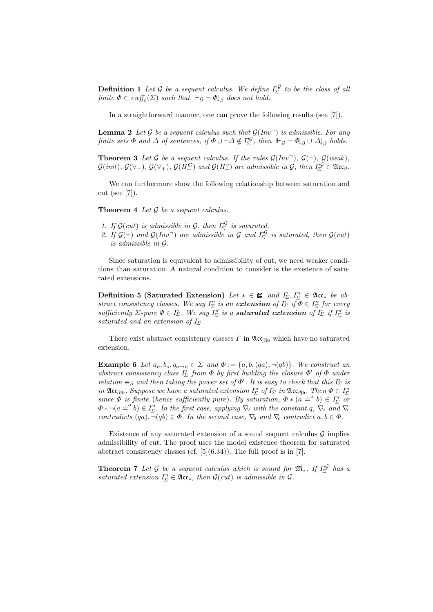**Definition 1** Let G be a sequent calculus. We define  $\Gamma_{\!\Sigma}^{\mathcal{G}}$  to be the class of all finite  $\Phi \subset \text{cutf}_o(\Sigma)$  such that  $\vdash_{\mathcal{G}} \neg \Phi \vert_{\beta}$  does not hold.

In a straightforward manner, one can prove the following results (see [7]).

**Lemma 2** Let G be a sequent calculus such that  $G(Inv<sup>-</sup>)$  is admissible. For any finite sets  $\Phi$  and  $\Delta$  of sentences, if  $\Phi \cup \neg \Delta \notin \Gamma_{\!\Sigma}^{\mathcal{G}}$ , then  $\vdash_{\mathcal{G}} \neg \Phi \vert_{\beta} \cup \Delta \vert_{\beta}$  holds.

**Theorem 3** Let  $\mathcal G$  be a sequent calculus. If the rules  $\mathcal G(Inv^-)$ ,  $\mathcal G(\neg)$ ,  $\mathcal G(weak)$ ,  $\mathcal{G}(init)$ ,  $\mathcal{G}(\vee_{-})$ ,  $\mathcal{G}(\vee_{+})$ ,  $\mathcal{G}(\Pi_{-}^{\mathbf{C}})$  and  $\mathcal{G}(\Pi_{+}^c)$  are admissible in  $\mathcal{G}$ , then  $\Gamma_{\!\Sigma}^{\mathcal{G}} \in \mathfrak{Acc}_{\beta}$ .

We can furthermore show the following relationship between saturation and cut (see [7]).

**Theorem 4** Let  $\mathcal G$  be a sequent calculus.

- 1. If  $\mathcal{G}(cut)$  is admissible in  $\mathcal{G}$ , then  $\Gamma_{\!\Sigma}^{\mathcal{G}}$  is saturated.
- 2. If  $\mathcal{G}(\neg)$  and  $\mathcal{G}(Inv \neg)$  are admissible in  $\mathcal{G}$  and  $\Gamma_{\!\Sigma}^{\mathcal{G}}$  is saturated, then  $\mathcal{G}(cut)$ is admissible in G.

Since saturation is equivalent to admissibility of cut, we need weaker conditions than saturation. A natural condition to consider is the existence of saturated extensions.

Definition 5 (Saturated Extension) Let  $* \in \mathbf{B}$  and  $\Gamma_{\!\Sigma}, \Gamma'_{\!\Sigma} \in \mathfrak{Acc}_*$  be abstract consistency classes. We say  $\Gamma_{\!\Sigma}'$  is an **extension** of  $\Gamma_{\!\Sigma}$  if  $\Phi \in \Gamma_{\!\Sigma}'$  for every sufficiently  $\Sigma$ -pure  $\Phi \in F_\Sigma$ . We say  $\overline{I'_\Sigma}$  is a **saturated extension** of  $\overline{I_{\Sigma}}$  if  $\overline{I'_\Sigma}$  is saturated and an extension of  $\Gamma_{\!\Sigma}$ .

There exist abstract consistency classes  $\Gamma$  in  $\mathfrak{Acc}_{\beta\beta}$  which have no saturated extension.

**Example 6** Let  $a_0, b_0, q_{0\to 0} \in \Sigma$  and  $\Phi := \{a, b, (qa), \neg (qb)\}\)$ . We construct an abstract consistency class  $I_{\Sigma}$  from  $\Phi$  by first building the closure  $\Phi'$  of  $\Phi$  under relation  $\equiv_\beta$  and then taking the power set of  $\Phi'$ . It is easy to check that this  $I_\Sigma$  is in  $\mathfrak{Acc}_{\beta\beta\beta}$ . Suppose we have a saturated extension  $\Gamma'_{\Sigma}$  of  $\Gamma_{\Sigma}$  in  $\mathfrak{Acc}_{\beta\beta\beta}$ . Then  $\Phi \in \Gamma'_{\Sigma}$ since  $\Phi$  is finite (hence sufficiently pure). By saturation,  $\Phi * (a \doteq^o b) \in I_{\Sigma}'$  or  $\Phi * \neg (a \doteq^o b) \in I_{\Sigma}'$ . In the first case, applying  $\nabla_{\forall}$  with the constant  $q$ ,  $\nabla_{\forall}$  and  $\nabla_{\forall}$ contradicts  $(qa)$ ,  $\neg(qb) \in \Phi$ . In the second case,  $\nabla_b$  and  $\nabla_c$  contradict  $a, b \in \Phi$ .

Existence of any saturated extension of a sound sequent calculus  $\mathcal G$  implies admissibility of cut. The proof uses the model existence theorem for saturated abstract consistency classes (cf.  $[5](6.34)$ ). The full proof is in [7].

**Theorem 7** Let G be a sequent calculus which is sound for  $\mathfrak{M}_{*}$ . If  $\Gamma_{\Sigma}^{\mathcal{G}}$  has a saturated extension  $\Gamma_{\!\Sigma}' \in \mathfrak{Acc}_*,$  then  $\mathcal{G}(cut)$  is admissible in  $\mathcal{G}.$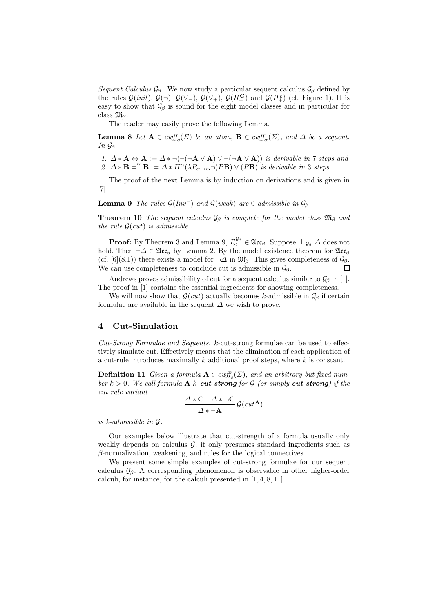Sequent Calculus  $\mathcal{G}_{\beta}$ . We now study a particular sequent calculus  $\mathcal{G}_{\beta}$  defined by the rules  $\mathcal{G}(init)$ ,  $\mathcal{G}(\neg)$ ,  $\mathcal{G}(\vee_-)$ ,  $\mathcal{G}(\vee_+)$ ,  $\mathcal{G}(I\!I_-^{\mathbf{C}})$  and  $\mathcal{G}(I\!I_+^c)$  (cf. Figure 1). It is easy to show that  $\mathcal{G}_{\beta}$  is sound for the eight model classes and in particular for class  $\mathfrak{M}_{\beta}$ .

The reader may easily prove the following Lemma.

**Lemma 8** Let  $A \in \text{cutf}_o(\Sigma)$  be an atom,  $B \in \text{cutf}_o(\Sigma)$ , and  $\Delta$  be a sequent. In  $\mathcal{G}_{\beta}$ 

1.  $\Delta * A \Leftrightarrow A := \Delta * \neg (\neg (\neg A \vee A) \vee \neg (\neg A \vee A))$  is derivable in 7 steps and 2.  $\Delta * B = \alpha' B := \Delta * \Pi^{\alpha} (\lambda P_{\alpha \to o} - (PB) \vee (PB))$  is derivable in 3 steps.

The proof of the next Lemma is by induction on derivations and is given in [7].

**Lemma 9** The rules  $\mathcal{G}(Inv \cap)$  and  $\mathcal{G}(weak)$  are 0-admissible in  $\mathcal{G}_{\beta}$ .

**Theorem 10** The sequent calculus  $\mathcal{G}_{\beta}$  is complete for the model class  $\mathfrak{M}_{\beta}$  and the rule  $G(cut)$  is admissible.

**Proof:** By Theorem 3 and Lemma 9,  $\Gamma_{\!\Sigma}^{\mathcal{G}_{\beta}} \in \mathfrak{Acc}_{\beta}$ . Suppose  $\vdash_{\mathcal{G}_{\beta}} \Delta$  does not hold. Then  $\neg \Delta \in \mathfrak{Acc}_{\beta}$  by Lemma 2. By the model existence theorem for  $\mathfrak{Acc}_{\beta}$ (cf. [6](8.1)) there exists a model for  $\neg \Delta$  in  $\mathfrak{M}_{\beta}$ . This gives completeness of  $\mathcal{G}_{\beta}$ .  $\Box$ We can use completeness to conclude cut is admissible in  $\mathcal{G}_\beta$ .

Andrews proves admissibility of cut for a sequent calculus similar to  $\mathcal{G}_{\beta}$  in [1]. The proof in [1] contains the essential ingredients for showing completeness.

We will now show that  $\mathcal{G}(cut)$  actually becomes k-admissible in  $\mathcal{G}_{\beta}$  if certain formulae are available in the sequent  $\Delta$  we wish to prove.

### 4 Cut-Simulation

Cut-Strong Formulae and Sequents. k-cut-strong formulae can be used to effectively simulate cut. Effectively means that the elimination of each application of a cut-rule introduces maximally  $k$  additional proof steps, where  $k$  is constant.

**Definition 11** Given a formula  $A \in \text{cutf}_o(\Sigma)$ , and an arbitrary but fixed number  $k > 0$ . We call formula **A** k-cut-strong for G (or simply cut-strong) if the cut rule variant

$$
\frac{\Delta * \mathbf{C} \quad \Delta * \neg \mathbf{C}}{\Delta * \neg \mathbf{A}} \mathcal{G}(cut^{\mathbf{A}})
$$

is k-admissible in G.

Our examples below illustrate that cut-strength of a formula usually only weakly depends on calculus  $\mathcal{G}$ : it only presumes standard ingredients such as  $\beta$ -normalization, weakening, and rules for the logical connectives.

We present some simple examples of cut-strong formulae for our sequent calculus  $\mathcal{G}_{\beta}$ . A corresponding phenomenon is observable in other higher-order calculi, for instance, for the calculi presented in [1, 4, 8, 11].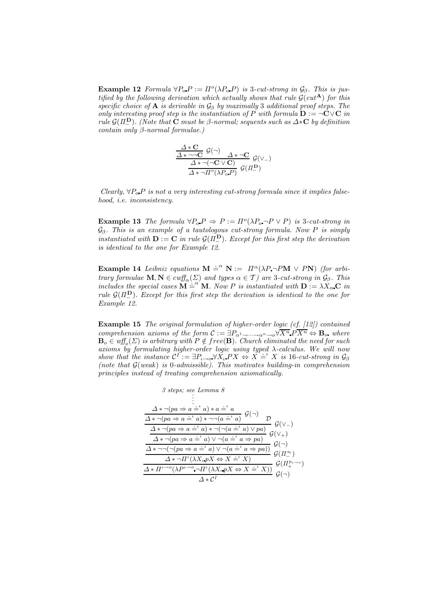**Example 12** Formula  $\forall P_o P := \Pi^o(\lambda P_o P)$  is 3-cut-strong in  $\mathcal{G}_\beta$ . This is justified by the following derivation which actually shows that rule  $\mathcal{G}(cut^{\mathbf{A}})$  for this specific choice of **A** is derivable in  $\mathcal{G}_{\beta}$  by maximally 3 additional proof steps. The only interesting proof step is the instantiation of P with formula  $\mathbf{D} := \neg \mathbf{C} \vee \mathbf{C}$  in rule  $\mathcal{G}(\Pi^{\mathbf{D}})$ . (Note that  $\mathbf C$  must be  $\beta$ -normal; sequents such as  $\Delta * \mathbf C$  by definition contain only  $\beta$ -normal formulae.)

$$
\frac{\frac{\Delta * \mathbf{C}}{\Delta * \neg \neg \mathbf{C}} \mathcal{G}(\neg)}{\frac{\Delta * \neg (\neg \mathbf{C} \vee \mathbf{C})}{\Delta * \neg (\neg \mathbf{C} \vee \mathbf{C})} \mathcal{G}(\vee_{-})}
$$

Clearly,  $\forall P_o \, P$  is not a very interesting cut-strong formula since it implies falsehood, i.e. inconsistency.

**Example 13** The formula  $\forall P_o P \Rightarrow P := \Pi^o(\lambda P_o \neg P \vee P)$  is 3-cut-strong in  $\mathcal{G}_{\beta}$ . This is an example of a tautologous cut-strong formula. Now P is simply instantiated with  $\mathbf{D} := \mathbf{C}$  in rule  $\mathcal{G}(\overline{\Pi}_{-}^{\mathbf{D}})$ . Except for this first step the derivation is identical to the one for Example 12.

**Example 14** Leibniz equations  $M \doteq^{\alpha} N := \Pi^{\alpha} (\lambda P \neg P M \vee P N)$  (for arbitrary formulae  $\mathbf{M}, \mathbf{N} \in \text{cutf}_{\alpha}(\Sigma)$  and types  $\alpha \in \mathcal{T}$ ) are 3-cut-strong in  $\mathcal{G}_{\beta}$ . This includes the special cases  $M \doteq^{\alpha} M$ . Now P is instantiated with  $D := \lambda X_{\alpha} C$  in rule  $G(\Pi_{-}^{\mathbf{D}})$ . Except for this first step the derivation is identical to the one for Example 12.

Example 15 The original formulation of higher-order logic (cf. [12]) contained comprehension axioms of the form  $\mathcal{C} := \exists P_{\alpha^1 \to \dots \to \alpha^n \to \alpha} \forall \overline{X^n} \ P \overline{X^n} \Leftrightarrow \mathbf{B}_{\alpha}$  where  $\mathbf{B}_o \in \mathit{wff}_o(\Sigma)$  is arbitrary with  $P \notin free(\mathbf{B})$ . Church eliminated the need for such axioms by formulating higher-order logic using typed λ-calculus. We will now show that the instance  $\mathcal{C}^I := \exists P_{\iota \to o} \forall X_{\iota} PX \Leftrightarrow X \doteq^{\iota} X$  is 16-cut-strong in  $\mathcal{G}_{\beta}$ (note that  $G(weak)$  is 0-admissible). This motivates building-in comprehension principles instead of treating comprehension axiomatically.

$$
\begin{array}{c}\n\text{3 steps; see Lemma 8} \\
\vdots \\
\Delta * \neg (pa \Rightarrow a \doteq^{\iota} a) * a \doteq^{\iota} a \\
\hline\n\frac{\Delta * \neg (pa \Rightarrow a \doteq^{\iota} a) * \neg (a \doteq^{\iota} a)}{\Delta * \neg (pa \Rightarrow a \doteq^{\iota} a) * \neg (a \doteq^{\iota} a)} \mathcal{G}(\vee) \\
\hline\n\frac{\Delta * \neg (pa \Rightarrow a \doteq^{\iota} a) * \neg (\neg (a \doteq^{\iota} a) \vee pa)}{\Delta * \neg (pa \Rightarrow a \doteq^{\iota} a) \vee \neg (a \doteq^{\iota} a \Rightarrow pa)} \mathcal{G}(\vee + \\
\hline\n\frac{\Delta * \neg (\neg (pa \Rightarrow a \doteq^{\iota} a) \vee \neg (a \doteq^{\iota} a \Rightarrow pa))}{\Delta * \neg I^{\iota}(\lambda X_{\iota} p X \Leftrightarrow X \doteq^{\iota} X)} \mathcal{G}(\Pi_{\iota}^{a_{\iota}}) \\
\hline\n\frac{\Delta * \Pi^{\iota \rightarrow o}(\lambda P^{\iota \rightarrow o} \neg \Pi^{\iota}(\lambda X_{\iota} p X \Leftrightarrow X \doteq^{\iota} X))}{\Delta * C^{I}} \mathcal{G}(\neg) \\
\hline\n\end{array}
$$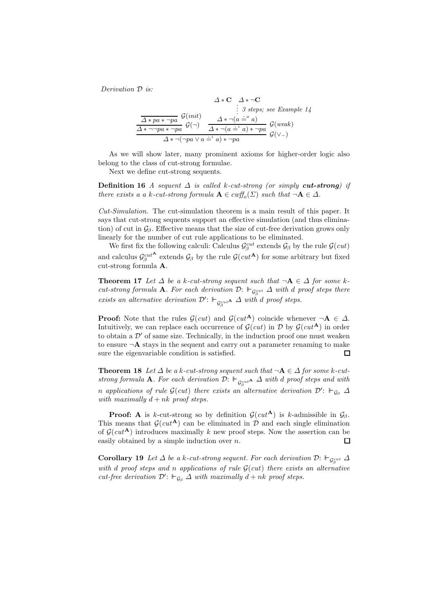Derivation D is:

$$
\Delta * \mathbf{C} \quad \Delta * \neg \mathbf{C}
$$
\n
$$
\vdots \quad 3 \text{ steps; see Example 14}
$$
\n
$$
\frac{\Delta * pa * \neg pa}{\Delta * \neg pa * \neg pa} \mathcal{G}(\neg) \quad \Delta * \neg (a \doteq^{\circ} a)
$$
\n
$$
\Delta * \neg (a \doteq^{\circ} a)
$$
\n
$$
\Delta * \neg (pa \lor a \doteq^{\iota} a) * \neg pa
$$
\n
$$
\mathcal{G}(\lor \neg)
$$

As we will show later, many prominent axioms for higher-order logic also belong to the class of cut-strong formulae.

Next we define cut-strong sequents.

**Definition 16** A sequent  $\Delta$  is called k-cut-strong (or simply **cut-strong**) if there exists a a k-cut-strong formula  $\mathbf{A} \in \text{cutf}_o(\Sigma)$  such that  $\neg \mathbf{A} \in \Delta$ .

Cut-Simulation. The cut-simulation theorem is a main result of this paper. It says that cut-strong sequents support an effective simulation (and thus elimination) of cut in  $\mathcal{G}_{\beta}$ . Effective means that the size of cut-free derivation grows only linearly for the number of cut rule applications to be eliminated.

We first fix the following calculi: Calculus  $\mathcal{G}_{\beta}^{cut}$  extends  $\mathcal{G}_{\beta}$  by the rule  $\mathcal{G}(cut)$ and calculus  $\mathcal{G}_{\beta}^{cut^{\mathbf{A}}}$  extends  $\mathcal{G}_{\beta}$  by the rule  $\mathcal{G}(cut^{\mathbf{A}})$  for some arbitrary but fixed cut-strong formula A.

**Theorem 17** Let  $\Delta$  be a k-cut-strong sequent such that  $\neg A \in \Delta$  for some kcut-strong formula **A**. For each derivation  $\mathcal{D}$ :  $\vdash_{\mathcal{G}_{\beta}^{cut}} \Delta$  with d proof steps there exists an alternative derivation  $\mathcal{D}'$ :  $\vdash_{\mathcal{G}^{cut}_{\beta}} \Delta$  with d proof steps.

**Proof:** Note that the rules  $\mathcal{G}(cut)$  and  $\mathcal{G}(cut^{\mathbf{A}})$  coincide whenever  $\neg \mathbf{A} \in \Delta$ . Intuitively, we can replace each occurrence of  $\mathcal{G}(cut)$  in  $\mathcal{D}$  by  $\mathcal{G}(cut^{\mathbf{A}})$  in order to obtain a  $\mathcal{D}'$  of same size. Technically, in the induction proof one must weaken to ensure  $\neg$ **A** stays in the sequent and carry out a parameter renaming to make sure the eigenvariable condition is satisfied. П

**Theorem 18** Let  $\Delta$  be a k-cut-strong sequent such that  $\neg$ **A**  $\in \Delta$  for some k-cutstrong formula **A**. For each derivation  $\mathcal{D}: \Vdash_{\mathcal{G}^{cut}_{\beta}} \Delta$  with  $d$  proof steps and with n applications of rule  $\mathcal{G}(cut)$  there exists an alternative derivation  $\mathcal{D}'$ :  $\vdash_{\mathcal{G}_{\beta}} \Delta$ with maximally  $d + nk$  proof steps.

**Proof:** A is k-cut-strong so by definition  $\mathcal{G}(cut^{\mathbf{A}})$  is k-admissible in  $\mathcal{G}_{\beta}$ . This means that  $\mathcal{G}(cut^{\mathbf{A}})$  can be eliminated in  $\mathcal{D}$  and each single elimination of  $G(cut^{\mathbf{A}})$  introduces maximally k new proof steps. Now the assertion can be easily obtained by a simple induction over  $n$ .  $\Box$ 

**Corollary 19** Let  $\Delta$  be a k-cut-strong sequent. For each derivation  $\mathcal{D}$ :  $\vdash_{\mathcal{G}_{\beta}^{cut}} \Delta$ with d proof steps and n applications of rule  $\mathcal{G}(cut)$  there exists an alternative cut-free derivation  $\mathcal{D}'$ :  $\vdash_{\mathcal{G}_{\beta}} \Delta$  with maximally  $d + nk$  proof steps.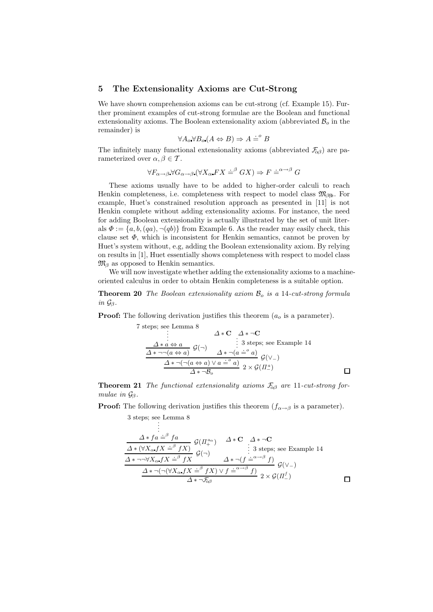#### 5 The Extensionality Axioms are Cut-Strong

We have shown comprehension axioms can be cut-strong (cf. Example 15). Further prominent examples of cut-strong formulae are the Boolean and functional extensionality axioms. The Boolean extensionality axiom (abbreviated  $\mathcal{B}_o$  in the remainder) is

$$
\forall A_o \forall B_o (A \Leftrightarrow B) \Rightarrow A \doteq^o B
$$

The infinitely many functional extensionality axioms (abbreviated  $\mathcal{F}_{\alpha\beta}$ ) are parameterized over  $\alpha, \beta \in \mathcal{T}$ .

$$
\forall F_{\alpha \to \beta} \forall G_{\alpha \to \beta} (\forall X_{\alpha} FX \doteq^{\beta} GX) \Rightarrow F \doteq^{\alpha \to \beta} G
$$

These axioms usually have to be added to higher-order calculi to reach Henkin completeness, i.e. completeness with respect to model class  $\mathfrak{M}_{\beta\mathfrak{h}}$ . For example, Huet's constrained resolution approach as presented in [11] is not Henkin complete without adding extensionality axioms. For instance, the need for adding Boolean extensionality is actually illustrated by the set of unit literals  $\Phi := \{a, b, (qa), \neg (qb)\}\$ from Example 6. As the reader may easily check, this clause set  $\Phi$ , which is inconsistent for Henkin semantics, cannot be proven by Huet's system without, e.g, adding the Boolean extensionality axiom. By relying on results in [1], Huet essentially shows completeness with respect to model class  $\mathfrak{M}_{\beta}$  as opposed to Henkin semantics.

We will now investigate whether adding the extensionality axioms to a machineoriented calculus in order to obtain Henkin completeness is a suitable option.

**Theorem 20** The Boolean extensionality axiom  $\mathcal{B}_o$  is a 14-cut-strong formula in  $\mathcal{G}_{\beta}$ .

**Proof:** The following derivation justifies this theorem  $(a<sub>o</sub>$  is a parameter).

7 steps; see Lemma 8  
\n
$$
\begin{array}{c}\n\vdots & \Delta * \mathbf{C} & \Delta * \neg \mathbf{C} \\
\vdots & \vdots & \vdots \\
\frac{\Delta * a \Leftrightarrow a}{\Delta * \neg(a \Leftrightarrow a)} & \mathcal{G}(\neg) & \mathcal{G} * \neg(a \doteq^o a)} \\
\frac{\Delta * \neg(a \Leftrightarrow a) \quad \Delta * \neg(a \doteq^o a)}{\Delta * \neg(\neg(a \Leftrightarrow a) \lor a \doteq^o a)} & \mathcal{G}(\vee_{-}) \\
\frac{\Delta * \neg(\neg(a \Leftrightarrow a) \lor a \doteq^o a)}{\Delta * \neg B_o} & 2 \times \mathcal{G}(\Pi_{-}^{a})\n\end{array}
$$

**Theorem 21** The functional extensionality axioms  $\mathcal{F}_{\alpha\beta}$  are 11-cut-strong formulae in  $\mathcal{G}_{\beta}$ .

**Proof:** The following derivation justifies this theorem  $(f_{\alpha \to \beta}$  is a parameter).

$$
\begin{matrix}\n 3 \text{ steps}; \text{see Lemma 8} \\
 \vdots\n \end{matrix}
$$

$$
\frac{\Delta * f a \doteq^{\beta} f a}{\Delta * (\forall X_{\alpha} f X \doteq^{\beta} f X)} \n\begin{array}{c}\n\mathcal{G}(H_{+}^{a_{\alpha}}) & \Delta * \mathbf{C} & \Delta * \neg \mathbf{C} \\
\vdots & \vdots & \vdots \\
\frac{\Delta * \neg \neg \forall X_{\alpha} f X \doteq^{\beta} f X}{\Delta * \neg (\neg (\forall X_{\alpha} f X \doteq^{\beta} f X) \lor f \doteq^{\alpha \neg \beta} f)} \n\end{array}\n\mathcal{G}(\vee_{-})
$$
\n
$$
\frac{\Delta * \neg (\neg (\forall X_{\alpha} f X \doteq^{\beta} f X) \lor f \doteq^{\alpha \neg \beta} f)}{\Delta * \neg \mathcal{F}_{\alpha \beta}} \n\mathcal{G}(H_{-}^{f})
$$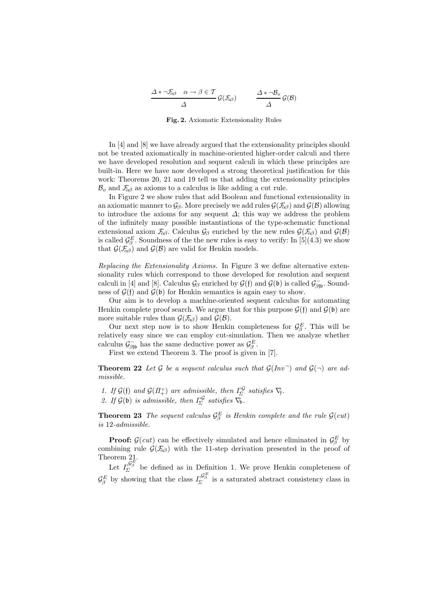$$
\frac{\Delta * \neg \mathcal{F}_{\alpha\beta} \quad \alpha \to \beta \in \mathcal{T}}{\Delta} \mathcal{G}(\mathcal{F}_{\alpha\beta}) \qquad \frac{\Delta * \neg \mathcal{B}_{o}}{\Delta} \mathcal{G}(\mathcal{B})
$$

Fig. 2. Axiomatic Extensionality Rules

In [4] and [8] we have already argued that the extensionality principles should not be treated axiomatically in machine-oriented higher-order calculi and there we have developed resolution and sequent calculi in which these principles are built-in. Here we have now developed a strong theoretical justification for this work: Theorems 20, 21 and 19 tell us that adding the extensionality principles  $\mathcal{B}_{o}$  and  $\mathcal{F}_{\alpha\beta}$  as axioms to a calculus is like adding a cut rule.

In Figure 2 we show rules that add Boolean and functional extensionality in an axiomatic manner to  $\mathcal{G}_{\beta}$ . More precisely we add rules  $\mathcal{G}(\mathcal{F}_{\alpha\beta})$  and  $\mathcal{G}(\mathcal{B})$  allowing to introduce the axioms for any sequent  $\Delta$ ; this way we address the problem of the infinitely many possible instantiations of the type-schematic functional extensional axiom  $\mathcal{F}_{\alpha\beta}$ . Calculus  $\mathcal{G}_{\beta}$  enriched by the new rules  $\mathcal{G}(\mathcal{F}_{\alpha\beta})$  and  $\mathcal{G}(\mathcal{B})$ is called  $\mathcal{G}_{\beta}^E$ . Soundness of the the new rules is easy to verify: In [5](4.3) we show that  $\mathcal{G}(\mathcal{F}_{\alpha\beta})$  and  $\mathcal{G}(\mathcal{B})$  are valid for Henkin models.

Replacing the Extensionality Axioms. In Figure 3 we define alternative extensionality rules which correspond to those developed for resolution and sequent calculi in [4] and [8]. Calculus  $\mathcal{G}_{\beta}$  enriched by  $\mathcal{G}(f)$  and  $\mathcal{G}(f)$  is called  $\mathcal{G}_{\beta f}^{-}$ . Soundness of  $\mathcal{G}(f)$  and  $\mathcal{G}(b)$  for Henkin semantics is again easy to show.

Our aim is to develop a machine-oriented sequent calculus for automating Henkin complete proof search. We argue that for this purpose  $\mathcal{G}(\mathfrak{f})$  and  $\mathcal{G}(\mathfrak{b})$  are more suitable rules than  $\mathcal{G}(\mathcal{F}_{\alpha\beta})$  and  $\mathcal{G}(\mathcal{B})$ .

Our next step now is to show Henkin completeness for  $\mathcal{G}_{\beta}^E$ . This will be relatively easy since we can employ cut-simulation. Then we analyze whether calculus  $\mathcal{G}^-_{\beta\beta}$  has the same deductive power as  $\mathcal{G}^E_{\beta}$ .

First we extend Theorem 3. The proof is given in [7].

**Theorem 22** Let G be a sequent calculus such that  $\mathcal{G}(Inv^-)$  and  $\mathcal{G}(\neg)$  are admissible.

1. If  $\mathcal{G}(f)$  and  $\mathcal{G}(H_+^c)$  are admissible, then  $\Gamma_{\!\Sigma}^{\mathcal{G}}$  satisfies  $\nabla_{\!\!f}$ .

2. If  $\mathcal{G}(\mathfrak{b})$  is admissible, then  $\Gamma_{\!\Sigma}^{\mathcal{G}}$  satisfies  $\nabla_{\!\mathfrak{b}}$ .

**Theorem 23** The sequent calculus  $\mathcal{G}_{\beta}^{E}$  is Henkin complete and the rule  $\mathcal{G}(cut)$ is 12-admissible.

**Proof:**  $\mathcal{G}(cut)$  can be effectively simulated and hence eliminated in  $\mathcal{G}_{\beta}^{E}$  by combining rule  $\mathcal{G}(\mathcal{F}_{\alpha\beta})$  with the 11-step derivation presented in the proof of Theorem 21.

Let  $\mathcal{I}_{\Sigma}^{\mathcal{G}_{\beta}^{E}}$  be defined as in Definition 1. We prove Henkin completeness of  $\mathcal{G}_{\beta}^E$  by showing that the class  $\Gamma_{\!\Sigma}^{\mathcal{G}_{\beta}^E}$  is a saturated abstract consistency class in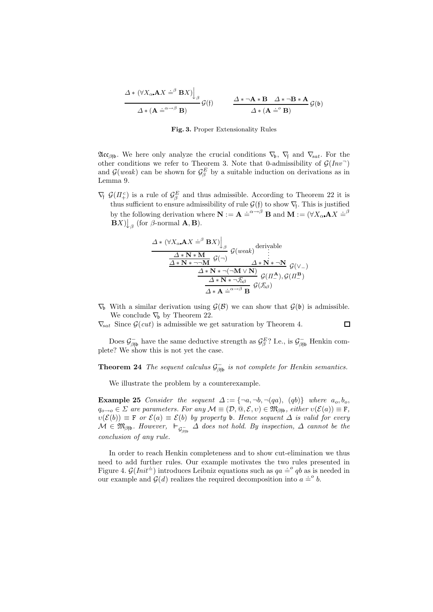$$
\frac{\Delta * (\forall X_{\alpha} \mathbf{A} X \doteq^{\beta} \mathbf{B} X) \Big|_{\beta}}{\Delta * (\mathbf{A} \doteq^{\alpha \to \beta} \mathbf{B})} \mathcal{G}(\mathfrak{f}) \qquad \frac{\Delta * \neg \mathbf{A} * \mathbf{B} \quad \Delta * \neg \mathbf{B} * \mathbf{A}}{\Delta * (\mathbf{A} \doteq^{\circ} \mathbf{B})} \mathcal{G}(\mathfrak{b})
$$

#### Fig. 3. Proper Extensionality Rules

 $\mathfrak{Acc}_{\beta\beta\beta}$ . We here only analyze the crucial conditions  $\nabla_b$ ,  $\nabla_f$  and  $\nabla_{sat}$ . For the other conditions we refer to Theorem 3. Note that 0-admissibility of  $\mathcal{G}(Inv)$ and  $\mathcal{G}(weak)$  can be shown for  $\mathcal{G}_{\beta}^E$  by a suitable induction on derivations as in Lemma 9.

 $\nabla f$ ,  $\mathcal{G}(H_+^c)$  is a rule of  $\mathcal{G}_{\beta}^E$  and thus admissible. According to Theorem 22 it is thus sufficient to ensure admissibility of rule  $\mathcal{G}(\mathfrak{f})$  to show  $\nabla_{\mathfrak{f}}$ . This is justified by the following derivation where  $\mathbf{N} := \mathbf{A} \stackrel{\cdot}{=} \stackrel{\alpha \to \beta}{\longrightarrow} \mathbf{B}$  and  $\mathbf{M} := (\forall X_{\alpha} \mathbf{A} X \stackrel{\cdot}{=} \stackrel{\beta}{\longrightarrow} \mathbf{A} \mathbf{A}$  $\mathbf{B}X$ )  $\downarrow_{\beta}$  (for  $\beta$ -normal  $\mathbf{A}, \mathbf{B}$ ).

$$
\frac{\Delta * (\forall X_{\alpha} \mathbf{A} X \doteq^{\beta} \mathbf{B} X) \Big|_{\beta}}{\frac{\Delta * \mathbf{N} * \mathbf{M}}{\Delta * \mathbf{N} * \neg \neg \mathbf{M}} g(\neg)} g(weak) \qquad \vdots \n\frac{\Delta * \mathbf{N} * \mathbf{M}}{\Delta * \mathbf{N} * \neg (\neg \mathbf{M} \vee \mathbf{N})} g(\vee -) \n\frac{\Delta * \mathbf{N} * \neg (\neg \mathbf{M} \vee \mathbf{N})}{\Delta * \mathbf{N} * \neg \mathcal{F}_{\alpha\beta}} g(\Pi_{\alpha}^{\mathbf{A}}), g(\Pi_{\alpha}^{\mathbf{B}}) \n\frac{\Delta * \mathbf{N} * \neg \mathcal{F}_{\alpha\beta}}{\Delta * \mathbf{A} \doteq^{\alpha \neg \beta} \mathbf{B}} g(\mathcal{F}_{\alpha\beta})}
$$

 $\nabla_b$  With a similar derivation using  $\mathcal{G}(\mathcal{B})$  we can show that  $\mathcal{G}(\mathfrak{b})$  is admissible. We conclude  $\nabla_b$  by Theorem 22.

 $\nabla_{\text{sat}}$  Since  $\mathcal{G}(cut)$  is admissible we get saturation by Theorem 4.

 $\Box$ 

Does  $\mathcal{G}^-_{\beta\beta\beta}$  have the same deductive strength as  $\mathcal{G}^E_{\beta}$ ? I.e., is  $\mathcal{G}^-_{\beta\beta\beta}$  Henkin complete? We show this is not yet the case.

**Theorem 24** The sequent calculus  $\mathcal{G}_{\beta j b}^-$  is not complete for Henkin semantics.

We illustrate the problem by a counterexample.

Example 25 Consider the sequent  $\Delta := \{\neg a, \neg b, \neg (qa), (qb)\}\$  where  $a_o, b_o$ ,  $q_{o\rightarrow o} \in \Sigma$  are parameters. For any  $\mathcal{M} \equiv (\mathcal{D}, \mathcal{Q}, \mathcal{E}, v) \in \mathfrak{M}_{\beta\uparrow\mathfrak{b}}$ , either  $v(\mathcal{E}(a)) \equiv F$ ,  $\nu(\mathcal{E}(b)) \equiv \mathbf{F}$  or  $\mathcal{E}(a) \equiv \mathcal{E}(b)$  by property b. Hence sequent  $\Delta$  is valid for every  $\mathcal{M} \in \mathfrak{M}_{\beta\mathfrak{f}\mathfrak{b}}$ . However,  $\vdash_{\mathcal{G}^-_{\beta\mathfrak{f}\mathfrak{b}}} \Delta$  does not hold. By inspection,  $\Delta$  cannot be the conclusion of any rule.

In order to reach Henkin completeness and to show cut-elimination we thus need to add further rules. Our example motivates the two rules presented in hered to add further rules. Our example motivates the two rules presented in<br>Figure 4.  $\mathcal{G}(Init^{\pm})$  introduces Leibniz equations such as  $qa \stackrel{.}{=} qb$  as is needed in our example and  $\mathcal{G}(d)$  realizes the required decomposition into  $a \doteq^{\circ} b$ .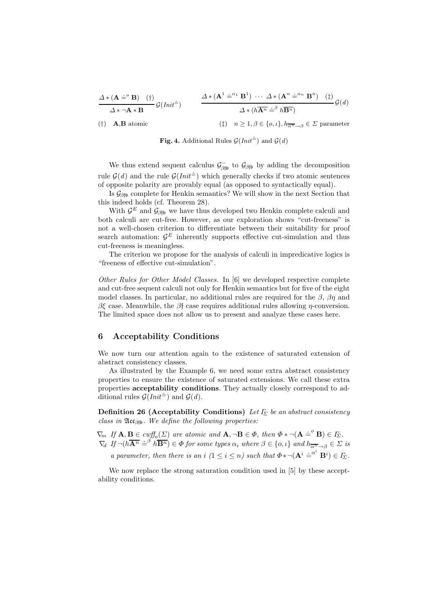$$
\frac{\Delta * (\mathbf{A} \doteq^{\circ} \mathbf{B}) (\dagger)}{\Delta * \neg \mathbf{A} * \mathbf{B}} \mathcal{G}(Init^{\dagger}) \qquad \frac{\Delta * (\mathbf{A}^{1} \doteq^{\alpha_{1}} \mathbf{B}^{1}) \cdots \Delta * (\mathbf{A}^{n} \doteq^{\alpha_{n}} \mathbf{B}^{n}) (\dagger)}{\Delta * (h\overline{\mathbf{A}^{n}} \doteq^{\beta} h\overline{\mathbf{B}^{n}})} \mathcal{G}(d)
$$
\n
$$
\text{(†)} \quad \mathbf{A}, \mathbf{B} \text{ atomic} \qquad \text{(}\dagger\text{)} \quad n \geq 1, \beta \in \{o, \iota\}, h_{\overline{\alpha^{n}} \to \beta} \in \Sigma \text{ parameter}
$$

**Fig. 4.** Additional Rules  $\mathcal{G}(Init^{\dagger})$  and  $\mathcal{G}(d)$ 

We thus extend sequent calculus  $\mathcal{G}^-_{\beta\beta}$  to  $\mathcal{G}_{\beta\beta}$  by adding the decomposition rule  $\mathcal{G}(d)$  and the rule  $\mathcal{G}(Init^{\dagger})$  which generally checks if two atomic sentences of opposite polarity are provably equal (as opposed to syntactically equal).

Is  $\mathcal{G}_{\beta\beta\beta}$  complete for Henkin semantics? We will show in the next Section that this indeed holds (cf. Theorem 28).

With  $\mathcal{G}^E$  and  $\mathcal{G}_{\beta\beta\beta}$  we have thus developed two Henkin complete calculi and both calculi are cut-free. However, as our exploration shows "cut-freeness" is not a well-chosen criterion to differentiate between their suitability for proof search automation:  $\mathcal{G}^E$  inherently supports effective cut-simulation and thus cut-freeness is meaningless.

The criterion we propose for the analysis of calculi in impredicative logics is "freeness of effective cut-simulation".

Other Rules for Other Model Classes. In [6] we developed respective complete and cut-free sequent calculi not only for Henkin semantics but for five of the eight model classes. In particular, no additional rules are required for the  $\beta$ ,  $\beta\eta$  and  $βξ$  case. Meanwhile, the  $β$ f case requires additional rules allowing *η*-conversion. The limited space does not allow us to present and analyze these cases here.

### 6 Acceptability Conditions

We now turn our attention again to the existence of saturated extension of abstract consistency classes.

As illustrated by the Example 6, we need some extra abstract consistency properties to ensure the existence of saturated extensions. We call these extra properties acceptability conditions. They actually closely correspond to adproperties acceptability conditional rules  $\mathcal{G}(Init^{\dagger})$  and  $\mathcal{G}(d)$ .

Definition 26 (Acceptability Conditions) Let  $\Gamma_{\Sigma}$  be an abstract consistency class in  $\mathfrak{Acc}_{\beta\mathfrak{f}_b}$ . We define the following properties:

 $\nabla_m$  If  $\mathbf{A}, \mathbf{B} \in \textit{cuff}_o(\Sigma)$  are atomic and  $\mathbf{A}, \neg \mathbf{B} \in \Phi$ , then  $\Phi * \neg (\mathbf{A} \doteq^{\circ} \mathbf{B}) \in I_{\Sigma}$ .  $\nabla_d$  If  $\neg(h\overline{A^n} \doteq^{\beta} h\overline{B^n}) \in \Phi$  for some types  $\alpha_i$  where  $\beta \in \{o, \iota\}$  and  $h_{\overline{\alpha^n} \to \beta} \in \Sigma$  is a parameter, then there is an i  $(1 \leq i \leq n)$  such that  $\Phi \ast \neg (\mathbf{A}^i \stackrel{\cdot}{=}^{\alpha^i} \mathbf{B}^i) \in I_{\Sigma}$ .

We now replace the strong saturation condition used in [5] by these acceptability conditions.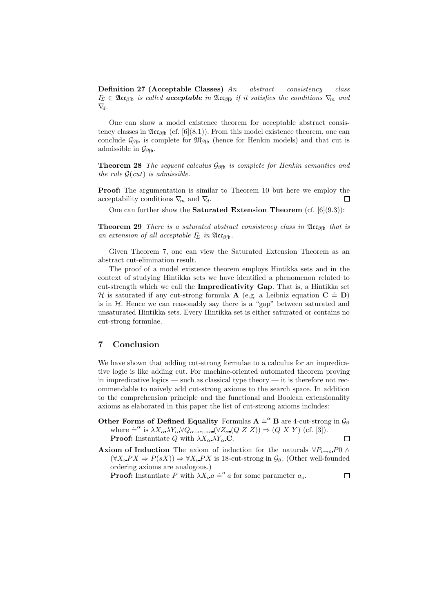Definition 27 (Acceptable Classes) An abstract consistency class  $\varGamma_{\Sigma} \in \mathfrak{Acc}_{\beta\mathfrak{f}b}$  is called **acceptable** in  $\mathfrak{Acc}_{\beta\mathfrak{f}b}$  if it satisfies the conditions  $\nabla_m$  and  $\nabla_d$ .

One can show a model existence theorem for acceptable abstract consistency classes in  $\mathfrak{Acc}_{\beta\mathfrak{h}}$  (cf. [6](8.1)). From this model existence theorem, one can conclude  $\mathcal{G}_{\beta\beta\beta}$  is complete for  $\mathfrak{M}_{\beta\beta\beta}$  (hence for Henkin models) and that cut is admissible in  $\mathcal{G}_{\beta\uparrow\mathfrak{b}}$ .

**Theorem 28** The sequent calculus  $\mathcal{G}_{\beta\beta}$  is complete for Henkin semantics and the rule  $\mathcal{G}(cut)$  is admissible.

Proof: The argumentation is similar to Theorem 10 but here we employ the acceptability conditions  $\nabla_m$  and  $\nabla_d$ . П

One can further show the **Saturated Extension Theorem** (cf.  $[6](9.3)$ ):

**Theorem 29** There is a saturated abstract consistency class in  $\mathfrak{Acc}_{\beta\mathfrak{h}}$  that is an extension of all acceptable  $\Gamma_{\!\Sigma}$  in  $\mathfrak{Acc}_{\beta\mathfrak{fb}}$ .

Given Theorem 7, one can view the Saturated Extension Theorem as an abstract cut-elimination result.

The proof of a model existence theorem employs Hintikka sets and in the context of studying Hintikka sets we have identified a phenomenon related to cut-strength which we call the Impredicativity Gap. That is, a Hintikka set H is saturated if any cut-strong formula  $\bf{A}$  (e.g. a Leibniz equation  $\bf{C} = \bf{D}$ ) is in  $H$ . Hence we can reasonably say there is a "gap" between saturated and unsaturated Hintikka sets. Every Hintikka set is either saturated or contains no cut-strong formulae.

### 7 Conclusion

We have shown that adding cut-strong formulae to a calculus for an impredicative logic is like adding cut. For machine-oriented automated theorem proving in impredicative logics — such as classical type theory — it is therefore not recommendable to naively add cut-strong axioms to the search space. In addition to the comprehension principle and the functional and Boolean extensionality axioms as elaborated in this paper the list of cut-strong axioms includes:

- Other Forms of Defined Equality Formulas  $A \stackrel{\sim}{=} {}^{a}B$  are 4-cut-strong in  $\mathcal{G}_{\beta}$ where  $=^{\alpha}$  is  $\lambda X_{\alpha} \lambda Y_{\alpha} \forall Q_{\alpha \to \alpha \to \alpha} (\forall Z_{\alpha} (Q Z Z)) \Rightarrow (Q X Y)$  (cf. [3]). **Proof:** Instantiate Q with  $\lambda X_{\alpha} \lambda Y_{\alpha} \mathbf{C}$ .  $\Box$
- **Axiom of Induction** The axiom of induction for the naturals  $\forall P_{\iota \to \iota \iota} P \in \Lambda$  $(\forall X_i P X \Rightarrow P(sX)) \Rightarrow \forall X_i P X$  is 18-cut-strong in  $\mathcal{G}_{\beta}$ . (Other well-founded ordering axioms are analogous.)

**Proof:** Instantiate P with  $\lambda X_i$   $a \doteq^o a$  for some parameter  $a_o$ .

 $\Box$